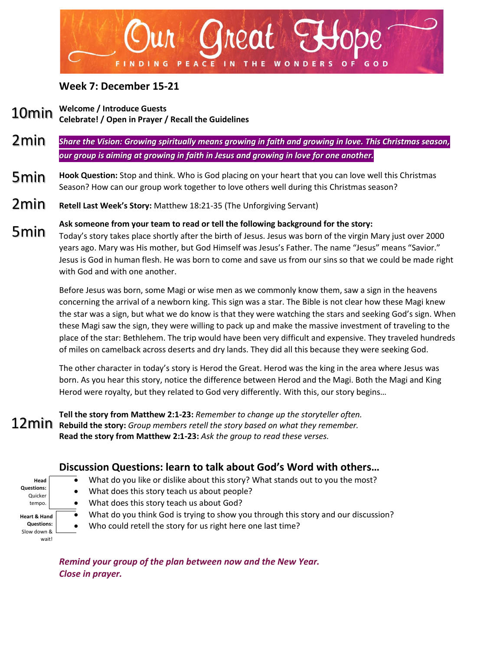

#### **Week 7: December 15-21**

**Welcome / Introduce Guests Celebrate! / Open in Prayer / Recall the Guidelines** 10min

- *Share the Vision: Growing spiritually means growing in faith and growing in love. This Christmas season, our group is aiming at growing in faith in Jesus and growing in love for one another.*  2min
- **Hook Question:** Stop and think. Who is God placing on your heart that you can love well this Christmas Season? How can our group work together to love others well during this Christmas season? 5min
- **Retell Last Week's Story:** Matthew 18:21-35 (The Unforgiving Servant) 2min
- **Ask someone from your team to read or tell the following background for the story:** Today's story takes place shortly after the birth of Jesus. Jesus was born of the virgin Mary just over 2000 years ago. Mary was His mother, but God Himself was Jesus's Father. The name "Jesus" means "Savior." Jesus is God in human flesh. He was born to come and save us from our sins so that we could be made right with God and with one another. 5min

Before Jesus was born, some Magi or wise men as we commonly know them, saw a sign in the heavens concerning the arrival of a newborn king. This sign was a star. The Bible is not clear how these Magi knew the star was a sign, but what we do know is that they were watching the stars and seeking God's sign. When these Magi saw the sign, they were willing to pack up and make the massive investment of traveling to the place of the star: Bethlehem. The trip would have been very difficult and expensive. They traveled hundreds of miles on camelback across deserts and dry lands. They did all this because they were seeking God.

The other character in today's story is Herod the Great. Herod was the king in the area where Jesus was born. As you hear this story, notice the difference between Herod and the Magi. Both the Magi and King Herod were royalty, but they related to God very differently. With this, our story begins…

**Tell the story from Matthew 2:1-23:** *Remember to change up the storyteller often.* **Rebuild the story:** *Group members retell the story based on what they remember.* **Read the story from Matthew 2:1-23:** *Ask the group to read these verses.*

### **Discussion Questions: learn to talk about God's Word with others…**

- What do you like or dislike about this story? What stands out to you the most?
- What does this story teach us about people?
- What does this story teach us about God?

**Head Questions:** Quicker tempo. **Heart & Hand Questions:**  Slow down & wait!

• What do you think God is trying to show you through this story and our discussion?

• Who could retell the story for us right here one last time?

*Remind your group of the plan between now and the New Year. Close in prayer.*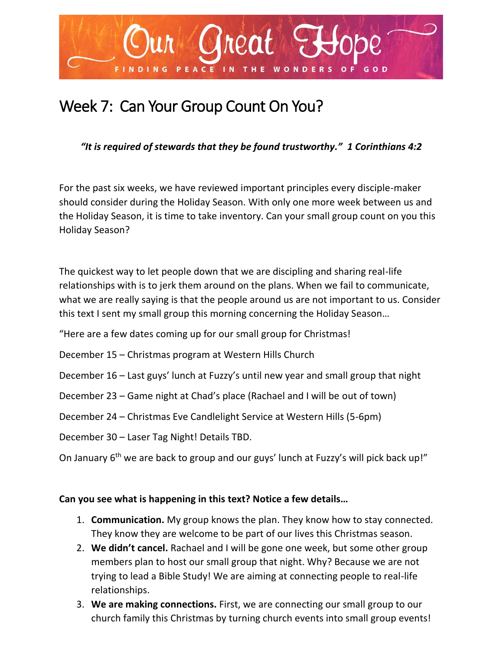

# Week 7: Can Your Group Count On You?

#### *"It is required of stewards that they be found trustworthy." 1 Corinthians 4:2*

For the past six weeks, we have reviewed important principles every disciple-maker should consider during the Holiday Season. With only one more week between us and the Holiday Season, it is time to take inventory. Can your small group count on you this Holiday Season?

The quickest way to let people down that we are discipling and sharing real-life relationships with is to jerk them around on the plans. When we fail to communicate, what we are really saying is that the people around us are not important to us. Consider this text I sent my small group this morning concerning the Holiday Season…

"Here are a few dates coming up for our small group for Christmas!

December 15 – Christmas program at Western Hills Church

December 16 – Last guys' lunch at Fuzzy's until new year and small group that night

December 23 – Game night at Chad's place (Rachael and I will be out of town)

December 24 – Christmas Eve Candlelight Service at Western Hills (5-6pm)

December 30 – Laser Tag Night! Details TBD.

On January 6<sup>th</sup> we are back to group and our guys' lunch at Fuzzy's will pick back up!"

#### **Can you see what is happening in this text? Notice a few details…**

- 1. **Communication.** My group knows the plan. They know how to stay connected. They know they are welcome to be part of our lives this Christmas season.
- 2. **We didn't cancel.** Rachael and I will be gone one week, but some other group members plan to host our small group that night. Why? Because we are not trying to lead a Bible Study! We are aiming at connecting people to real-life relationships.
- 3. **We are making connections.** First, we are connecting our small group to our church family this Christmas by turning church events into small group events!